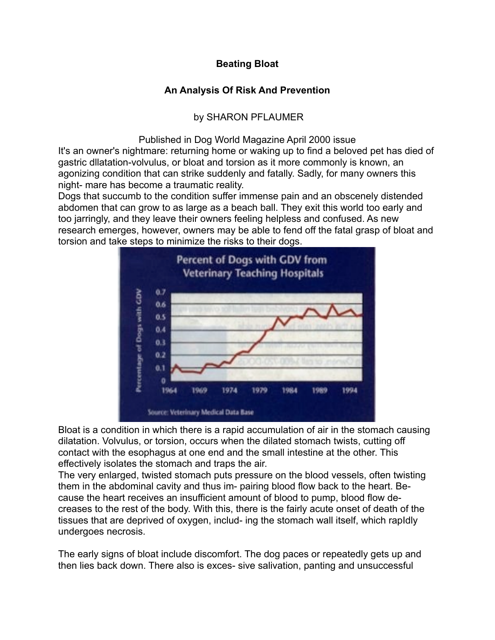# **Beating Bloat**

# **An Analysis Of Risk And Prevention**

# by SHARON PFLAUMER

### Published in Dog World Magazine April 2000 issue

It's an owner's nightmare: returning home or waking up to find a beloved pet has died of gastric dllatation-volvulus, or bloat and torsion as it more commonly is known, an agonizing condition that can strike suddenly and fatally. Sadly, for many owners this night- mare has become a traumatic reality.

Dogs that succumb to the condition suffer immense pain and an obscenely distended abdomen that can grow to as large as a beach ball. They exit this world too early and too jarringly, and they leave their owners feeling helpless and confused. As new research emerges, however, owners may be able to fend off the fatal grasp of bloat and torsion and take steps to minimize the risks to their dogs.



Bloat is a condition in which there is a rapid accumulation of air in the stomach causing dilatation. Volvulus, or torsion, occurs when the dilated stomach twists, cutting off contact with the esophagus at one end and the small intestine at the other. This effectively isolates the stomach and traps the air.

The very enlarged, twisted stomach puts pressure on the blood vessels, often twisting them in the abdominal cavity and thus im- pairing blood flow back to the heart. Because the heart receives an insufficient amount of blood to pump, blood flow decreases to the rest of the body. With this, there is the fairly acute onset of death of the tissues that are deprived of oxygen, includ- ing the stomach wall itself, which rapIdly undergoes necrosis.

The early signs of bloat include discomfort. The dog paces or repeatedly gets up and then lies back down. There also is exces- sive salivation, panting and unsuccessful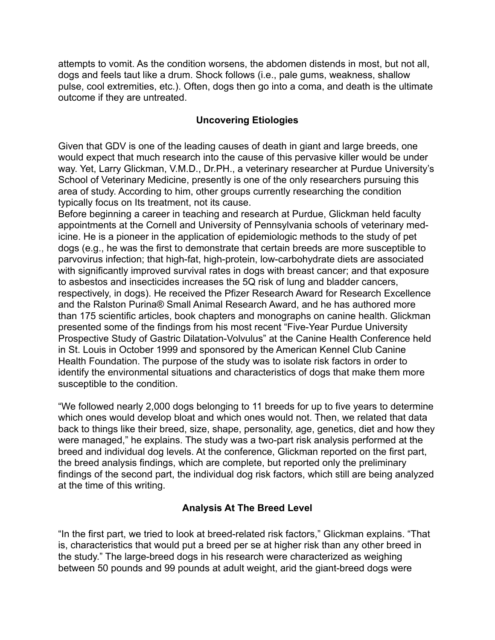attempts to vomit. As the condition worsens, the abdomen distends in most, but not all, dogs and feels taut like a drum. Shock follows (i.e., pale gums, weakness, shallow pulse, cool extremities, etc.). Often, dogs then go into a coma, and death is the ultimate outcome if they are untreated.

### **Uncovering Etiologies**

Given that GDV is one of the leading causes of death in giant and large breeds, one would expect that much research into the cause of this pervasive killer would be under way. Yet, Larry Glickman, V.M.D., Dr.PH., a veterinary researcher at Purdue University's School of Veterinary Medicine, presently is one of the only researchers pursuing this area of study. According to him, other groups currently researching the condition typically focus on Its treatment, not its cause.

Before beginning a career in teaching and research at Purdue, Glickman held faculty appointments at the Cornell and University of Pennsylvania schools of veterinary medicine. He is a pioneer in the application of epidemiologic methods to the study of pet dogs (e.g., he was the first to demonstrate that certain breeds are more susceptible to parvovirus infection; that high-fat, high-protein, low-carbohydrate diets are associated with significantly improved survival rates in dogs with breast cancer; and that exposure to asbestos and insecticides increases the 5Q risk of lung and bladder cancers, respectively, in dogs). He received the Pfizer Research Award for Research Excellence and the Ralston Purina® Small Animal Research Award, and he has authored more than 175 scientific articles, book chapters and monographs on canine health. Glickman presented some of the findings from his most recent "Five-Year Purdue University Prospective Study of Gastric Dilatation-Volvulus" at the Canine Health Conference held in St. Louis in October 1999 and sponsored by the American Kennel Club Canine Health Foundation. The purpose of the study was to isolate risk factors in order to identify the environmental situations and characteristics of dogs that make them more susceptible to the condition.

"We followed nearly 2,000 dogs belonging to 11 breeds for up to five years to determine which ones would develop bloat and which ones would not. Then, we related that data back to things like their breed, size, shape, personality, age, genetics, diet and how they were managed," he explains. The study was a two-part risk analysis performed at the breed and individual dog levels. At the conference, Glickman reported on the first part, the breed analysis findings, which are complete, but reported only the preliminary findings of the second part, the individual dog risk factors, which still are being analyzed at the time of this writing.

## **Analysis At The Breed Level**

"In the first part, we tried to look at breed-related risk factors," Glickman explains. "That is, characteristics that would put a breed per se at higher risk than any other breed in the study." The large-breed dogs in his research were characterized as weighing between 50 pounds and 99 pounds at adult weight, arid the giant-breed dogs were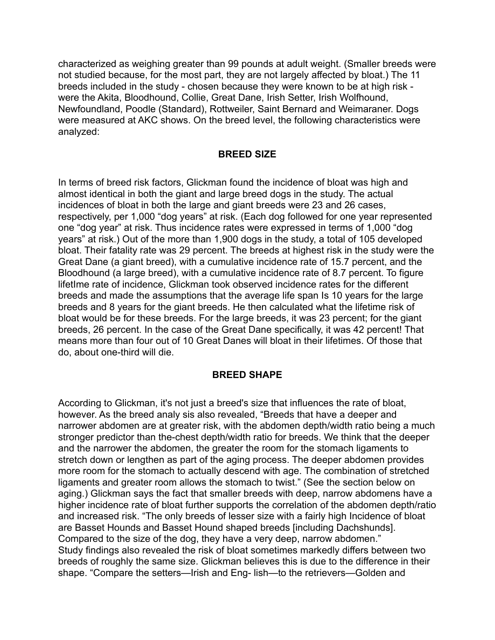characterized as weighing greater than 99 pounds at adult weight. (Smaller breeds were not studied because, for the most part, they are not largely affected by bloat.) The 11 breeds included in the study - chosen because they were known to be at high risk were the Akita, Bloodhound, Collie, Great Dane, Irish Setter, Irish Wolfhound, Newfoundland, Poodle (Standard), Rottweiler, Saint Bernard and Weimaraner. Dogs were measured at AKC shows. On the breed level, the following characteristics were analyzed:

#### **BREED SIZE**

In terms of breed risk factors, Glickman found the incidence of bloat was high and almost identical in both the giant and large breed dogs in the study. The actual incidences of bloat in both the large and giant breeds were 23 and 26 cases, respectively, per 1,000 "dog years" at risk. (Each dog followed for one year represented one "dog year" at risk. Thus incidence rates were expressed in terms of 1,000 "dog years" at risk.) Out of the more than 1,900 dogs in the study, a total of 105 developed bloat. Their fatality rate was 29 percent. The breeds at highest risk in the study were the Great Dane (a giant breed), with a cumulative incidence rate of 15.7 percent, and the Bloodhound (a large breed), with a cumulative incidence rate of 8.7 percent. To figure lifetIme rate of incidence, Glickman took observed incidence rates for the different breeds and made the assumptions that the average life span Is 10 years for the large breeds and 8 years for the giant breeds. He then calculated what the lifetime risk of bloat would be for these breeds. For the large breeds, it was 23 percent; for the giant breeds, 26 percent. In the case of the Great Dane specifically, it was 42 percent! That means more than four out of 10 Great Danes will bloat in their lifetimes. Of those that do, about one-third will die.

#### **BREED SHAPE**

According to Glickman, it's not just a breed's size that influences the rate of bloat, however. As the breed analy sis also revealed, "Breeds that have a deeper and narrower abdomen are at greater risk, with the abdomen depth/width ratio being a much stronger predictor than the-chest depth/width ratio for breeds. We think that the deeper and the narrower the abdomen, the greater the room for the stomach ligaments to stretch down or lengthen as part of the aging process. The deeper abdomen provides more room for the stomach to actually descend with age. The combination of stretched ligaments and greater room allows the stomach to twist." (See the section below on aging.) Glickman says the fact that smaller breeds with deep, narrow abdomens have a higher incidence rate of bloat further supports the correlation of the abdomen depth/ratio and increased risk. "The only breeds of lesser size with a fairly high Incidence of bloat are Basset Hounds and Basset Hound shaped breeds [including Dachshunds]. Compared to the size of the dog, they have a very deep, narrow abdomen." Study findings also revealed the risk of bloat sometimes markedly differs between two breeds of roughly the same size. Glickman believes this is due to the difference in their shape. "Compare the setters—Irish and Eng- lish—to the retrievers—Golden and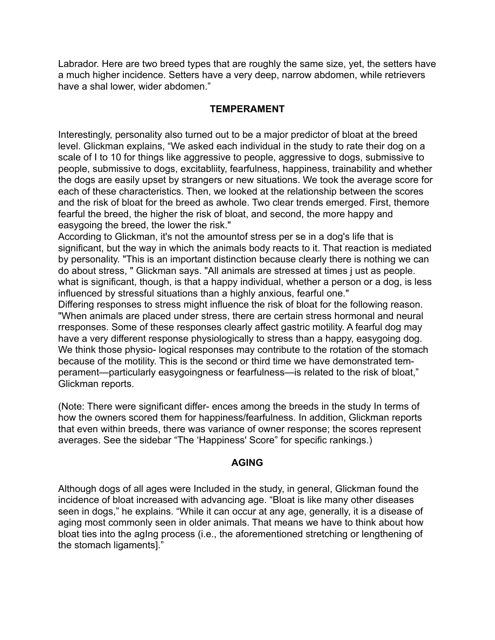Labrador. Here are two breed types that are roughly the same size, yet, the setters have a much higher incidence. Setters have a very deep, narrow abdomen, while retrievers have a shal lower, wider abdomen."

#### **TEMPERAMENT**

Interestingly, personality also turned out to be a major predictor of bloat at the breed level. Glickman explains, "We asked each individual in the study to rate their dog on a scale of I to 10 for things like aggressive to people, aggressive to dogs, submissive to people, submissive to dogs, excitabliity, fearfulness, happiness, trainability and whether the dogs are easily upset by strangers or new situations. We took the average score for each of these characteristics. Then, we looked at the relationship between the scores and the risk of bloat for the breed as awhole. Two clear trends emerged. First, themore fearful the breed, the higher the risk of bloat, and second, the more happy and easygoing the breed, the lower the risk."

According to Glickman, it's not the amountof stress per se in a dog's life that is significant, but the way in which the animals body reacts to it. That reaction is mediated by personality. "This is an important distinction because clearly there is nothing we can do about stress, " Glickman says. "All animals are stressed at times j ust as people. what is significant, though, is that a happy individual, whether a person or a dog, is less influenced by stressful situations than a highly anxious, fearful one."

Differing responses to stress might influence the risk of bloat for the following reason. "When animals are placed under stress, there are certain stress hormonal and neural rresponses. Some of these responses clearly affect gastric motility. A fearful dog may have a very different response physiologically to stress than a happy, easygoing dog. We think those physio- logical responses may contribute to the rotation of the stomach because of the motility. This is the second or third time we have demonstrated temperament—particularly easygoingness or fearfulness—is related to the risk of bloat," Glickman reports.

(Note: There were significant differ- ences among the breeds in the study In terms of how the owners scored them for happiness/fearfulness. In addition, Glickman reports that even within breeds, there was variance of owner response; the scores represent averages. See the sidebar "The 'Happiness' Score" for specific rankings.)

#### **AGING**

Although dogs of all ages were Included in the study, in general, Glickman found the incidence of bloat increased with advancing age. "Bloat is like many other diseases seen in dogs," he explains. "While it can occur at any age, generally, it is a disease of aging most commonly seen in older animals. That means we have to think about how bloat ties into the agIng process (i.e., the aforementioned stretching or lengthening of the stomach ligaments]."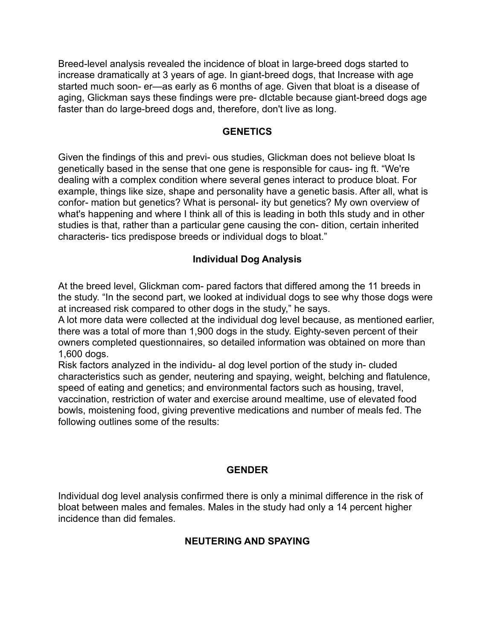Breed-level analysis revealed the incidence of bloat in large-breed dogs started to increase dramatically at 3 years of age. In giant-breed dogs, that Increase with age started much soon- er—as early as 6 months of age. Given that bloat is a disease of aging, Glickman says these findings were pre- dIctable because giant-breed dogs age faster than do large-breed dogs and, therefore, don't live as long.

#### **GENETICS**

Given the findings of this and previ- ous studies, Glickman does not believe bloat Is genetically based in the sense that one gene is responsible for caus- ing ft. "We're dealing with a complex condition where several genes interact to produce bloat. For example, things like size, shape and personality have a genetic basis. After all, what is confor- mation but genetics? What is personal- ity but genetics? My own overview of what's happening and where I think all of this is leading in both this study and in other studies is that, rather than a particular gene causing the con- dition, certain inherited characteris- tics predispose breeds or individual dogs to bloat."

#### **Individual Dog Analysis**

At the breed level, Glickman com- pared factors that differed among the 11 breeds in the study. "In the second part, we looked at individual dogs to see why those dogs were at increased risk compared to other dogs in the study," he says.

A lot more data were collected at the individual dog level because, as mentioned earlier, there was a total of more than 1,900 dogs in the study. Eighty-seven percent of their owners completed questionnaires, so detailed information was obtained on more than 1,600 dogs.

Risk factors analyzed in the individu- al dog level portion of the study in- cluded characteristics such as gender, neutering and spaying, weight, belching and flatulence, speed of eating and genetics; and environmental factors such as housing, travel, vaccination, restriction of water and exercise around mealtime, use of elevated food bowls, moistening food, giving preventive medications and number of meals fed. The following outlines some of the results:

## **GENDER**

Individual dog level analysis confirmed there is only a minimal difference in the risk of bloat between males and females. Males in the study had only a 14 percent higher incidence than did females.

## **NEUTERING AND SPAYING**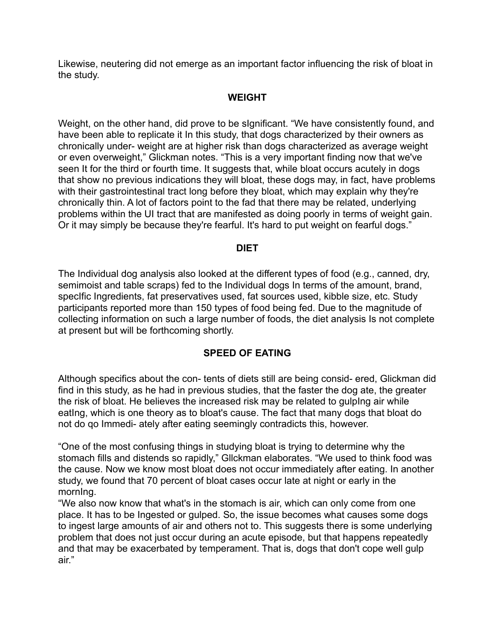Likewise, neutering did not emerge as an important factor influencing the risk of bloat in the study.

# **WEIGHT**

Weight, on the other hand, did prove to be sIgnificant. "We have consistently found, and have been able to replicate it In this study, that dogs characterized by their owners as chronically under- weight are at higher risk than dogs characterized as average weight or even overweight," Glickman notes. "This is a very important finding now that we've seen It for the third or fourth time. It suggests that, while bloat occurs acutely in dogs that show no previous indications they will bloat, these dogs may, in fact, have problems with their gastrointestinal tract long before they bloat, which may explain why they're chronically thin. A lot of factors point to the fad that there may be related, underlying problems within the UI tract that are manifested as doing poorly in terms of weight gain. Or it may simply be because they're fearful. It's hard to put weight on fearful dogs."

#### **DIET**

The Individual dog analysis also looked at the different types of food (e.g., canned, dry, semimoist and table scraps) fed to the Individual dogs In terms of the amount, brand, specIfic Ingredients, fat preservatives used, fat sources used, kibble size, etc. Study participants reported more than 150 types of food being fed. Due to the magnitude of collecting information on such a large number of foods, the diet analysis Is not complete at present but will be forthcoming shortly.

## **SPEED OF EATING**

Although specifics about the con- tents of diets still are being consid- ered, Glickman did find in this study, as he had in previous studies, that the faster the dog ate, the greater the risk of bloat. He believes the increased risk may be related to gulpIng air while eatIng, which is one theory as to bloat's cause. The fact that many dogs that bloat do not do qo Immedi- ately after eating seemingly contradicts this, however.

"One of the most confusing things in studying bloat is trying to determine why the stomach fills and distends so rapidly," Gllckman elaborates. "We used to think food was the cause. Now we know most bloat does not occur immediately after eating. In another study, we found that 70 percent of bloat cases occur late at night or early in the mornIng.

"We also now know that what's in the stomach is air, which can only come from one place. It has to be Ingested or gulped. So, the issue becomes what causes some dogs to ingest large amounts of air and others not to. This suggests there is some underlying problem that does not just occur during an acute episode, but that happens repeatedly and that may be exacerbated by temperament. That is, dogs that don't cope well gulp air."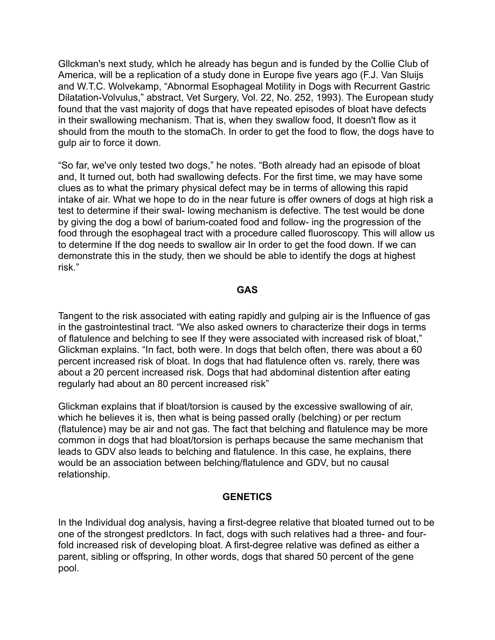Gllckman's next study, whIch he already has begun and is funded by the Collie Club of America, will be a replication of a study done in Europe five years ago (F.J. Van Sluijs and W.T.C. Wolvekamp, "Abnormal Esophageal Motility in Dogs with Recurrent Gastric Dilatation-Volvulus," abstract, Vet Surgery, Vol. 22, No. 252, 1993). The European study found that the vast majority of dogs that have repeated episodes of bloat have defects in their swallowing mechanism. That is, when they swallow food, It doesn't flow as it should from the mouth to the stomaCh. In order to get the food to flow, the dogs have to gulp air to force it down.

"So far, we've only tested two dogs," he notes. "Both already had an episode of bloat and, It turned out, both had swallowing defects. For the first time, we may have some clues as to what the primary physical defect may be in terms of allowing this rapid intake of air. What we hope to do in the near future is offer owners of dogs at high risk a test to determine if their swal- lowing mechanism is defective. The test would be done by giving the dog a bowl of barium-coated food and follow- ing the progression of the food through the esophageal tract with a procedure called fluoroscopy. This will allow us to determine If the dog needs to swallow air In order to get the food down. If we can demonstrate this in the study, then we should be able to identify the dogs at highest risk."

#### **GAS**

Tangent to the risk associated with eating rapidly and gulping air is the Influence of gas in the gastrointestinal tract. "We also asked owners to characterize their dogs in terms of flatulence and belching to see If they were associated with increased risk of bloat," Glickman explains. "In fact, both were. In dogs that belch often, there was about a 60 percent increased risk of bloat. In dogs that had flatulence often vs. rarely, there was about a 20 percent increased risk. Dogs that had abdominal distention after eating regularly had about an 80 percent increased risk"

Glickman explains that if bloat/torsion is caused by the excessive swallowing of air, which he believes it is, then what is being passed orally (belching) or per rectum (flatulence) may be air and not gas. The fact that belching and flatulence may be more common in dogs that had bloat/torsion is perhaps because the same mechanism that leads to GDV also leads to belching and flatulence. In this case, he explains, there would be an association between belching/flatulence and GDV, but no causal relationship.

#### **GENETICS**

In the Individual dog analysis, having a first-degree relative that bloated turned out to be one of the strongest predIctors. In fact, dogs with such relatives had a three- and fourfold increased risk of developing bloat. A first-degree relative was defined as either a parent, sibling or offspring, In other words, dogs that shared 50 percent of the gene pool.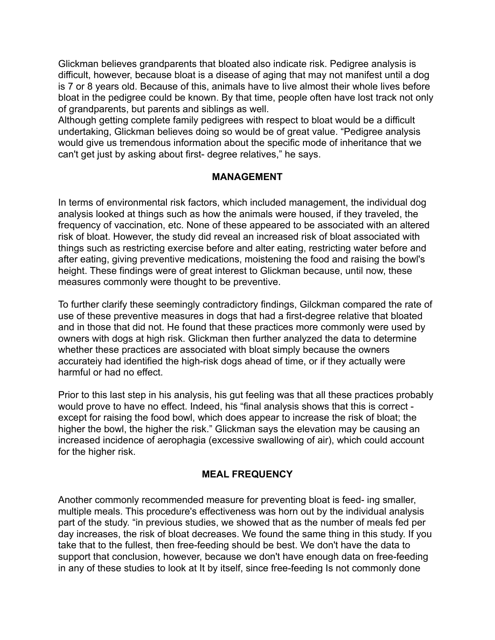Glickman believes grandparents that bloated also indicate risk. Pedigree analysis is difficult, however, because bloat is a disease of aging that may not manifest until a dog is 7 or 8 years old. Because of this, animals have to live almost their whole lives before bloat in the pedigree could be known. By that time, people often have lost track not only of grandparents, but parents and siblings as well.

Although getting complete family pedigrees with respect to bloat would be a difficult undertaking, Glickman believes doing so would be of great value. "Pedigree analysis would give us tremendous information about the specific mode of inheritance that we can't get just by asking about first- degree relatives," he says.

#### **MANAGEMENT**

In terms of environmental risk factors, which included management, the individual dog analysis looked at things such as how the animals were housed, if they traveled, the frequency of vaccination, etc. None of these appeared to be associated with an altered risk of bloat. However, the study did reveal an increased risk of bloat associated with things such as restricting exercise before and alter eating, restricting water before and after eating, giving preventive medications, moistening the food and raising the bowl's height. These findings were of great interest to Glickman because, until now, these measures commonly were thought to be preventive.

To further clarify these seemingly contradictory findings, Gilckman compared the rate of use of these preventive measures in dogs that had a first-degree relative that bloated and in those that did not. He found that these practices more commonly were used by owners with dogs at high risk. Glickman then further analyzed the data to determine whether these practices are associated with bloat simply because the owners accurateiy had identified the high-risk dogs ahead of time, or if they actually were harmful or had no effect.

Prior to this last step in his analysis, his gut feeling was that all these practices probably would prove to have no effect. Indeed, his "final analysis shows that this is correct except for raising the food bowl, which does appear to increase the risk of bloat; the higher the bowl, the higher the risk." Glickman says the elevation may be causing an increased incidence of aerophagia (excessive swallowing of air), which could account for the higher risk.

#### **MEAL FREQUENCY**

Another commonly recommended measure for preventing bloat is feed- ing smaller, multiple meals. This procedure's effectiveness was horn out by the individual analysis part of the study. "in previous studies, we showed that as the number of meals fed per day increases, the risk of bloat decreases. We found the same thing in this study. If you take that to the fullest, then free-feeding should be best. We don't have the data to support that conclusion, however, because we don't have enough data on free-feeding in any of these studies to look at It by itself, since free-feeding Is not commonly done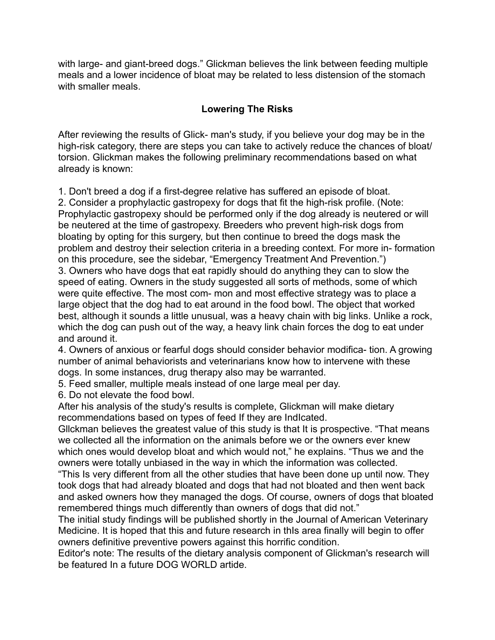with large- and giant-breed dogs." Glickman believes the link between feeding multiple meals and a lower incidence of bloat may be related to less distension of the stomach with smaller meals.

# **Lowering The Risks**

After reviewing the results of Glick- man's study, if you believe your dog may be in the high-risk category, there are steps you can take to actively reduce the chances of bloat/ torsion. Glickman makes the following preliminary recommendations based on what already is known:

1. Don't breed a dog if a first-degree relative has suffered an episode of bloat.

2. Consider a prophylactic gastropexy for dogs that fit the high-risk profile. (Note: Prophylactic gastropexy should be performed only if the dog already is neutered or will be neutered at the time of gastropexy. Breeders who prevent high-risk dogs from bloating by opting for this surgery, but then continue to breed the dogs mask the problem and destroy their selection criteria in a breeding context. For more in- formation on this procedure, see the sidebar, "Emergency Treatment And Prevention.") 3. Owners who have dogs that eat rapidly should do anything they can to slow the speed of eating. Owners in the study suggested all sorts of methods, some of which were quite effective. The most com- mon and most effective strategy was to place a large object that the dog had to eat around in the food bowl. The object that worked best, although it sounds a little unusual, was a heavy chain with big links. Unlike a rock, which the dog can push out of the way, a heavy link chain forces the dog to eat under and around it.

4. Owners of anxious or fearful dogs should consider behavior modifica- tion. A growing number of animal behaviorists and veterinarians know how to intervene with these dogs. In some instances, drug therapy also may be warranted.

5. Feed smaller, multiple meals instead of one large meal per day.

6. Do not elevate the food bowl.

After his analysis of the study's results is complete, Glickman will make dietary recommendations based on types of feed If they are IndIcated.

Gllckman believes the greatest value of this study is that It is prospective. "That means we collected all the information on the animals before we or the owners ever knew which ones would develop bloat and which would not," he explains. "Thus we and the owners were totally unbiased in the way in which the information was collected.

"This Is very different from all the other studies that have been done up until now. They took dogs that had already bloated and dogs that had not bloated and then went back and asked owners how they managed the dogs. Of course, owners of dogs that bloated remembered things much differently than owners of dogs that did not."

The initial study findings will be published shortly in the Journal of American Veterinary Medicine. It is hoped that this and future research in thIs area finally will begin to offer owners definitive preventive powers against this horrific condition.

Editor's note: The results of the dietary analysis component of Glickman's research will be featured In a future DOG WORLD artide.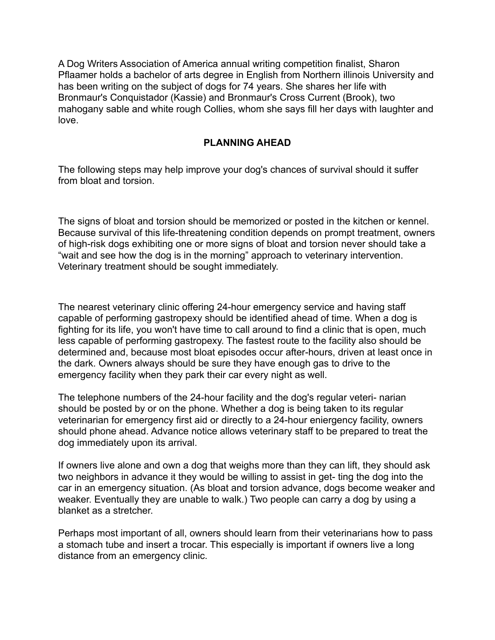A Dog Writers Association of America annual writing competition finalist, Sharon Pflaamer holds a bachelor of arts degree in English from Northern illinois University and has been writing on the subject of dogs for 74 years. She shares her life with Bronmaur's Conquistador (Kassie) and Bronmaur's Cross Current (Brook), two mahogany sable and white rough Collies, whom she says fill her days with laughter and love.

#### **PLANNING AHEAD**

The following steps may help improve your dog's chances of survival should it suffer from bloat and torsion.

The signs of bloat and torsion should be memorized or posted in the kitchen or kennel. Because survival of this life-threatening condition depends on prompt treatment, owners of high-risk dogs exhibiting one or more signs of bloat and torsion never should take a "wait and see how the dog is in the morning" approach to veterinary intervention. Veterinary treatment should be sought immediately.

The nearest veterinary clinic offering 24-hour emergency service and having staff capable of performing gastropexy should be identified ahead of time. When a dog is fighting for its life, you won't have time to call around to find a clinic that is open, much less capable of performing gastropexy. The fastest route to the facility also should be determined and, because most bloat episodes occur after-hours, driven at least once in the dark. Owners always should be sure they have enough gas to drive to the emergency facility when they park their car every night as well.

The telephone numbers of the 24-hour facility and the dog's regular veteri- narian should be posted by or on the phone. Whether a dog is being taken to its regular veterinarian for emergency first aid or directly to a 24-hour eniergency facility, owners should phone ahead. Advance notice allows veterinary staff to be prepared to treat the dog immediately upon its arrival.

If owners live alone and own a dog that weighs more than they can lift, they should ask two neighbors in advance it they would be willing to assist in get- ting the dog into the car in an emergency situation. (As bloat and torsion advance, dogs become weaker and weaker. Eventually they are unable to walk.) Two people can carry a dog by using a blanket as a stretcher.

Perhaps most important of all, owners should learn from their veterinarians how to pass a stomach tube and insert a trocar. This especially is important if owners live a long distance from an emergency clinic.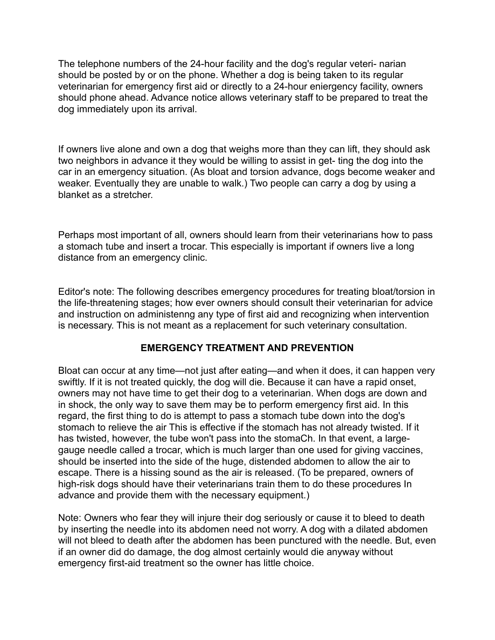The telephone numbers of the 24-hour facility and the dog's regular veteri- narian should be posted by or on the phone. Whether a dog is being taken to its regular veterinarian for emergency first aid or directly to a 24-hour eniergency facility, owners should phone ahead. Advance notice allows veterinary staff to be prepared to treat the dog immediately upon its arrival.

If owners live alone and own a dog that weighs more than they can lift, they should ask two neighbors in advance it they would be willing to assist in get- ting the dog into the car in an emergency situation. (As bloat and torsion advance, dogs become weaker and weaker. Eventually they are unable to walk.) Two people can carry a dog by using a blanket as a stretcher.

Perhaps most important of all, owners should learn from their veterinarians how to pass a stomach tube and insert a trocar. This especially is important if owners live a long distance from an emergency clinic.

Editor's note: The following describes emergency procedures for treating bloat/torsion in the life-threatening stages; how ever owners should consult their veterinarian for advice and instruction on administenng any type of first aid and recognizing when intervention is necessary. This is not meant as a replacement for such veterinary consultation.

## **EMERGENCY TREATMENT AND PREVENTION**

Bloat can occur at any time—not just after eating—and when it does, it can happen very swiftly. If it is not treated quickly, the dog will die. Because it can have a rapid onset, owners may not have time to get their dog to a veterinarian. When dogs are down and in shock, the only way to save them may be to perform emergency first aid. In this regard, the first thing to do is attempt to pass a stomach tube down into the dog's stomach to relieve the air This is effective if the stomach has not already twisted. If it has twisted, however, the tube won't pass into the stomaCh. In that event, a largegauge needle called a trocar, which is much larger than one used for giving vaccines, should be inserted into the side of the huge, distended abdomen to allow the air to escape. There is a hissing sound as the air is released. (To be prepared, owners of high-risk dogs should have their veterinarians train them to do these procedures In advance and provide them with the necessary equipment.)

Note: Owners who fear they will injure their dog seriously or cause it to bleed to death by inserting the needle into its abdomen need not worry. A dog with a dilated abdomen will not bleed to death after the abdomen has been punctured with the needle. But, even if an owner did do damage, the dog almost certainly would die anyway without emergency first-aid treatment so the owner has little choice.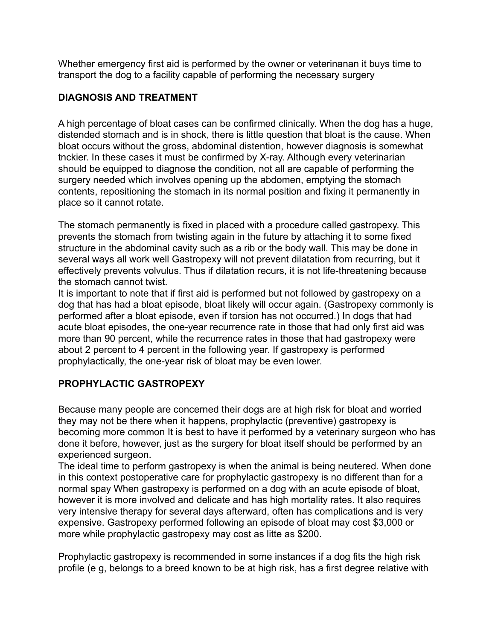Whether emergency first aid is performed by the owner or veterinanan it buys time to transport the dog to a facility capable of performing the necessary surgery

# **DIAGNOSIS AND TREATMENT**

A high percentage of bloat cases can be confirmed clinically. When the dog has a huge, distended stomach and is in shock, there is little question that bloat is the cause. When bloat occurs without the gross, abdominal distention, however diagnosis is somewhat tnckier. In these cases it must be confirmed by X-ray. Although every veterinarian should be equipped to diagnose the condition, not all are capable of performing the surgery needed which involves opening up the abdomen, emptying the stomach contents, repositioning the stomach in its normal position and fixing it permanently in place so it cannot rotate.

The stomach permanently is fixed in placed with a procedure called gastropexy. This prevents the stomach from twisting again in the future by attaching it to some fixed structure in the abdominal cavity such as a rib or the body wall. This may be done in several ways all work well Gastropexy will not prevent dilatation from recurring, but it effectively prevents volvulus. Thus if dilatation recurs, it is not life-threatening because the stomach cannot twist.

It is important to note that if first aid is performed but not followed by gastropexy on a dog that has had a bloat episode, bloat likely will occur again. (Gastropexy commonly is performed after a bloat episode, even if torsion has not occurred.) In dogs that had acute bloat episodes, the one-year recurrence rate in those that had only first aid was more than 90 percent, while the recurrence rates in those that had gastropexy were about 2 percent to 4 percent in the following year. If gastropexy is performed prophylactically, the one-year risk of bloat may be even lower.

# **PROPHYLACTIC GASTROPEXY**

Because many people are concerned their dogs are at high risk for bloat and worried they may not be there when it happens, prophylactic (preventive) gastropexy is becoming more common It is best to have it performed by a veterinary surgeon who has done it before, however, just as the surgery for bloat itself should be performed by an experienced surgeon.

The ideal time to perform gastropexy is when the animal is being neutered. When done in this context postoperative care for prophylactic gastropexy is no different than for a normal spay When gastropexy is performed on a dog with an acute episode of bloat, however it is more involved and delicate and has high mortality rates. It also requires very intensive therapy for several days afterward, often has complications and is very expensive. Gastropexy performed following an episode of bloat may cost \$3,000 or more while prophylactic gastropexy may cost as litte as \$200.

Prophylactic gastropexy is recommended in some instances if a dog fits the high risk profile (e g, belongs to a breed known to be at high risk, has a first degree relative with